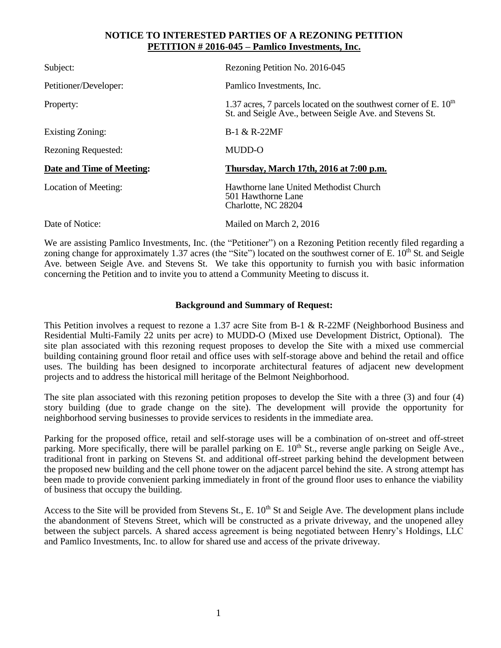## **NOTICE TO INTERESTED PARTIES OF A REZONING PETITION PETITION # 2016-045 – Pamlico Investments, Inc.**

| Subject:                   | Rezoning Petition No. 2016-045                                                                                                 |
|----------------------------|--------------------------------------------------------------------------------------------------------------------------------|
| Petitioner/Developer:      | Pamlico Investments, Inc.                                                                                                      |
| Property:                  | 1.37 acres, 7 parcels located on the southwest corner of E. $10th$<br>St. and Seigle Ave., between Seigle Ave. and Stevens St. |
| Existing Zoning:           | <b>B-1 &amp; R-22MF</b>                                                                                                        |
| <b>Rezoning Requested:</b> | MUDD-O                                                                                                                         |
| Date and Time of Meeting:  | Thursday, March 17th, 2016 at 7:00 p.m.                                                                                        |
| Location of Meeting:       | Hawthorne lane United Methodist Church<br>501 Hawthorne Lane<br>Charlotte, NC 28204                                            |
| Date of Notice:            | Mailed on March 2, 2016                                                                                                        |

We are assisting Pamlico Investments, Inc. (the "Petitioner") on a Rezoning Petition recently filed regarding a zoning change for approximately 1.37 acres (the "Site") located on the southwest corner of E.  $10<sup>th</sup>$  St. and Seigle Ave. between Seigle Ave. and Stevens St. We take this opportunity to furnish you with basic information concerning the Petition and to invite you to attend a Community Meeting to discuss it.

## **Background and Summary of Request:**

This Petition involves a request to rezone a 1.37 acre Site from B-1 & R-22MF (Neighborhood Business and Residential Multi-Family 22 units per acre) to MUDD-O (Mixed use Development District, Optional). The site plan associated with this rezoning request proposes to develop the Site with a mixed use commercial building containing ground floor retail and office uses with self-storage above and behind the retail and office uses. The building has been designed to incorporate architectural features of adjacent new development projects and to address the historical mill heritage of the Belmont Neighborhood.

The site plan associated with this rezoning petition proposes to develop the Site with a three (3) and four (4) story building (due to grade change on the site). The development will provide the opportunity for neighborhood serving businesses to provide services to residents in the immediate area.

Parking for the proposed office, retail and self-storage uses will be a combination of on-street and off-street parking. More specifically, there will be parallel parking on E.  $10<sup>th</sup>$  St., reverse angle parking on Seigle Ave., traditional front in parking on Stevens St. and additional off-street parking behind the development between the proposed new building and the cell phone tower on the adjacent parcel behind the site. A strong attempt has been made to provide convenient parking immediately in front of the ground floor uses to enhance the viability of business that occupy the building.

Access to the Site will be provided from Stevens St., E.  $10<sup>th</sup>$  St and Seigle Ave. The development plans include the abandonment of Stevens Street, which will be constructed as a private driveway, and the unopened alley between the subject parcels. A shared access agreement is being negotiated between Henry's Holdings, LLC and Pamlico Investments, Inc. to allow for shared use and access of the private driveway.